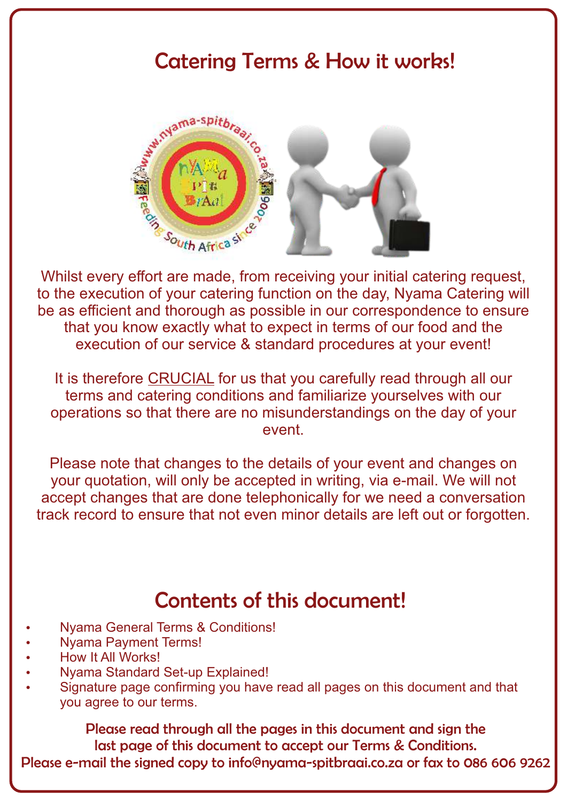### Catering Terms & How it works!



Whilst every effort are made, from receiving your initial catering request, to the execution of your catering function on the day, Nyama Catering will be as efficient and thorough as possible in our correspondence to ensure that you know exactly what to expect in terms of our food and the execution of our service & standard procedures at your event!

It is therefore CRUCIAL for us that you carefully read through all our terms and catering conditions and familiarize yourselves with our operations so that there are no misunderstandings on the day of your event.

Please note that changes to the details of your event and changes on your quotation, will only be accepted in writing, via e-mail. We will not accept changes that are done telephonically for we need a conversation track record to ensure that not even minor details are left out or forgotten.

### Contents of this document!

- Nyama General Terms & Conditions!
- **Nyama Payment Terms!**
- How It All Works!
- Nyama Standard Set-up Explained!
- Signature page confirming you have read all pages on this document and that you agree to our terms.

Please read through all the pages in this document and sign the last page of this document to accept our Terms & Conditions. Please e-mail the signed copy to info@nyama-spitbraai.co.za or fax to 086 606 9262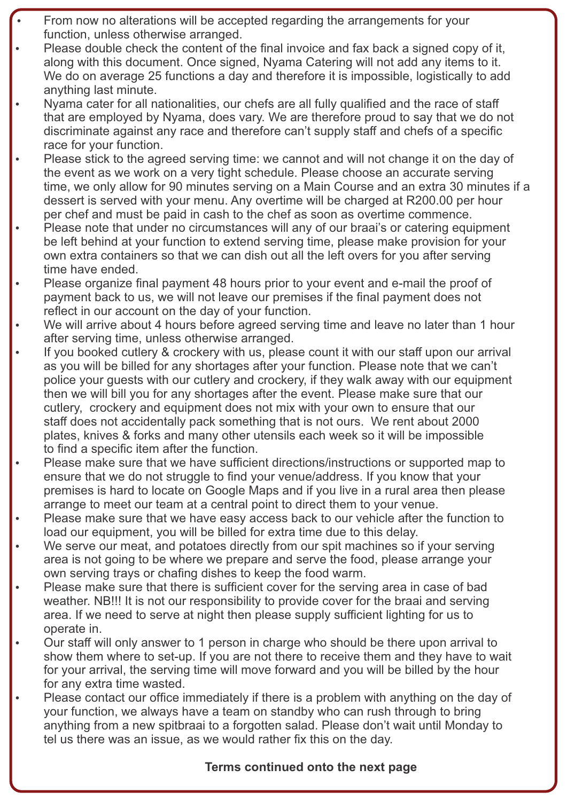- From now no alterations will be accepted regarding the arrangements for your function, unless otherwise arranged.
- Please double check the content of the final invoice and fax back a signed copy of it, along with this document. Once signed, Nyama Catering will not add any items to it. We do on average 25 functions a day and therefore it is impossible, logistically to add anything last minute.
- Nyama cater for all nationalities, our chefs are all fully qualified and the race of staff that are employed by Nyama, does vary. We are therefore proud to say that we do not discriminate against any race and therefore can't supply staff and chefs of a specific race for your function.
- Please stick to the agreed serving time: we cannot and will not change it on the day of the event as we work on a very tight schedule. Please choose an accurate serving time, we only allow for 90 minutes serving on a Main Course and an extra 30 minutes if a dessert is served with your menu. Any overtime will be charged at R200.00 per hour per chef and must be paid in cash to the chef as soon as overtime commence.
- Please note that under no circumstances will any of our braai's or catering equipment be left behind at your function to extend serving time, please make provision for your own extra containers so that we can dish out all the left overs for you after serving time have ended.
- Please organize final payment 48 hours prior to your event and e-mail the proof of payment back to us, we will not leave our premises if the final payment does not reflect in our account on the day of your function.
- We will arrive about 4 hours before agreed serving time and leave no later than 1 hour after serving time, unless otherwise arranged.
- If you booked cutlery & crockery with us, please count it with our staff upon our arrival as you will be billed for any shortages after your function. Please note that we can't police your guests with our cutlery and crockery, if they walk away with our equipment then we will bill you for any shortages after the event. Please make sure that our cutlery, crockery and equipment does not mix with your own to ensure that our staff does not accidentally pack something that is not ours. We rent about 2000 plates, knives & forks and many other utensils each week so it will be impossible to find a specific item after the function.
- Please make sure that we have sufficient directions/instructions or supported map to ensure that we do not struggle to find your venue/address. If you know that your premises is hard to locate on Google Maps and if you live in a rural area then please arrange to meet our team at a central point to direct them to your venue.
- Please make sure that we have easy access back to our vehicle after the function to load our equipment, you will be billed for extra time due to this delay.
- We serve our meat, and potatoes directly from our spit machines so if your serving area is not going to be where we prepare and serve the food, please arrange your own serving trays or chafing dishes to keep the food warm.
- Please make sure that there is sufficient cover for the serving area in case of bad weather. NB!!! It is not our responsibility to provide cover for the braai and serving area. If we need to serve at night then please supply sufficient lighting for us to operate in.
- Our staff will only answer to 1 person in charge who should be there upon arrival to show them where to set-up. If you are not there to receive them and they have to wait for your arrival, the serving time will move forward and you will be billed by the hour for any extra time wasted.
- Please contact our office immediately if there is a problem with anything on the day of your function, we always have a team on standby who can rush through to bring anything from a new spitbraai to a forgotten salad. Please don't wait until Monday to tel us there was an issue, as we would rather fix this on the day.

### **Terms continued onto the next page**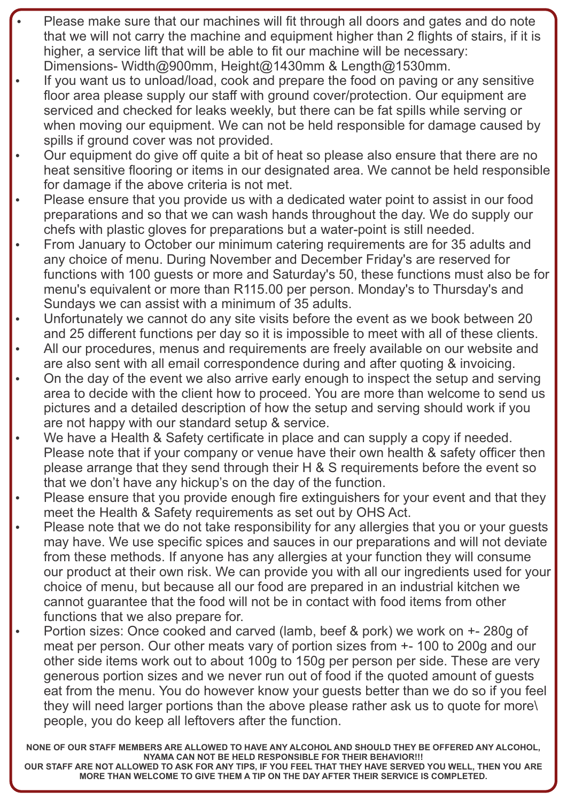- Please make sure that our machines will fit through all doors and gates and do note that we will not carry the machine and equipment higher than 2 flights of stairs, if it is higher, a service lift that will be able to fit our machine will be necessary: Dimensions- Width@900mm, Height@1430mm & Length@1530mm.
- If you want us to unload/load, cook and prepare the food on paving or any sensitive floor area please supply our staff with ground cover/protection. Our equipment are serviced and checked for leaks weekly, but there can be fat spills while serving or when moving our equipment. We can not be held responsible for damage caused by spills if ground cover was not provided.
- Our equipment do give off quite a bit of heat so please also ensure that there are no heat sensitive flooring or items in our designated area. We cannot be held responsible for damage if the above criteria is not met.
- Please ensure that you provide us with a dedicated water point to assist in our food preparations and so that we can wash hands throughout the day. We do supply our chefs with plastic gloves for preparations but a water-point is still needed.
- From January to October our minimum catering requirements are for 35 adults and any choice of menu. During November and December Friday's are reserved for functions with 100 guests or more and Saturday's 50, these functions must also be for menu's equivalent or more than R115.00 per person. Monday's to Thursday's and Sundays we can assist with a minimum of 35 adults.
- Unfortunately we cannot do any site visits before the event as we book between 20 and 25 different functions per day so it is impossible to meet with all of these clients.
- All our procedures, menus and requirements are freely available on our website and are also sent with all email correspondence during and after quoting & invoicing.
- On the day of the event we also arrive early enough to inspect the setup and serving area to decide with the client how to proceed. You are more than welcome to send us pictures and a detailed description of how the setup and serving should work if you are not happy with our standard setup & service.
- We have a Health & Safety certificate in place and can supply a copy if needed. Please note that if your company or venue have their own health & safety officer then please arrange that they send through their H & S requirements before the event so that we don't have any hickup's on the day of the function.
- Please ensure that you provide enough fire extinguishers for your event and that they meet the Health & Safety requirements as set out by OHS Act.
- Please note that we do not take responsibility for any allergies that you or your guests may have. We use specific spices and sauces in our preparations and will not deviate from these methods. If anyone has any allergies at your function they will consume our product at their own risk. We can provide you with all our ingredients used for your choice of menu, but because all our food are prepared in an industrial kitchen we cannot guarantee that the food will not be in contact with food items from other functions that we also prepare for.
- Portion sizes: Once cooked and carved (lamb, beef & pork) we work on  $+$  280g of meat per person. Our other meats vary of portion sizes from +- 100 to 200g and our other side items work out to about 100g to 150g per person per side. These are very generous portion sizes and we never run out of food if the quoted amount of guests eat from the menu. You do however know your guests better than we do so if you feel they will need larger portions than the above please rather ask us to quote for more\ people, you do keep all leftovers after the function.

**NONE OF OUR STAFF MEMBERS ARE ALLOWED TO HAVE ANY ALCOHOL AND SHOULD THEY BE OFFERED ANY ALCOHOL, NYAMA CAN NOT BE HELD RESPONSIBLE FOR THEIR BEHAVIOR!!!**

**OUR STAFF ARE NOT ALLOWED TO ASK FOR ANY TIPS, IF YOU FEEL THAT THEY HAVE SERVED YOU WELL, THEN YOU ARE MORE THAN WELCOME TO GIVE THEM A TIP ON THE DAY AFTER THEIR SERVICE IS COMPLETED.**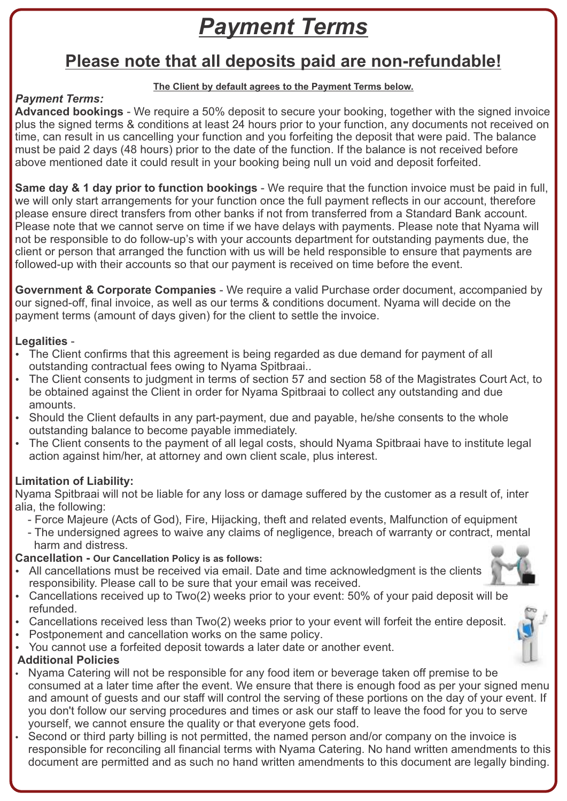## *Payment Terms*

### **Please note that all deposits paid are non-refundable!**

#### **The Client by default agrees to the Payment Terms below.**

### *Payment Terms:*

**Advanced bookings** - We require a 50% deposit to secure your booking, together with the signed invoice plus the signed terms & conditions at least 24 hours prior to your function, any documents not received on time, can result in us cancelling your function and you forfeiting the deposit that were paid. The balance must be paid 2 days (48 hours) prior to the date of the function. If the balance is not received before above mentioned date it could result in your booking being null un void and deposit forfeited.

**Same day & 1 day prior to function bookings** - We require that the function invoice must be paid in full, we will only start arrangements for your function once the full payment reflects in our account, therefore please ensure direct transfers from other banks if not from transferred from a Standard Bank account. Please note that we cannot serve on time if we have delays with payments. Please note that Nyama will not be responsible to do follow-up's with your accounts department for outstanding payments due, the client or person that arranged the function with us will be held responsible to ensure that payments are followed-up with their accounts so that our payment is received on time before the event.

**Government & Corporate Companies** - We require a valid Purchase order document, accompanied by our signed-off, final invoice, as well as our terms & conditions document. Nyama will decide on the payment terms (amount of days given) for the client to settle the invoice.

### **Legalities** -

- The Client confirms that this agreement is being regarded as due demand for payment of all outstanding contractual fees owing to Nyama Spitbraai..
- The Client consents to judgment in terms of section 57 and section 58 of the Magistrates Court Act, to be obtained against the Client in order for Nyama Spitbraai to collect any outstanding and due amounts.
- Should the Client defaults in any part-payment, due and payable, he/she consents to the whole outstanding balance to become payable immediately.
- The Client consents to the payment of all legal costs, should Nyama Spitbraai have to institute legal action against him/her, at attorney and own client scale, plus interest.

### **Limitation of Liability:**

Nyama Spitbraai will not be liable for any loss or damage suffered by the customer as a result of, inter alia, the following:

- Force Majeure (Acts of God), Fire, Hijacking, theft and related events, Malfunction of equipment
- The undersigned agrees to waive any claims of negligence, breach of warranty or contract, mental harm and distress.

### **Cancellation - Our Cancellation Policy is as follows:**

- All cancellations must be received via email. Date and time acknowledgment is the clients responsibility. Please call to be sure that your email was received.
- Cancellations received up to Two(2) weeks prior to your event: 50% of your paid deposit will be refunded.
- Cancellations received less than Two(2) weeks prior to your event will forfeit the entire deposit.
- Postponement and cancellation works on the same policy.
- You cannot use a forfeited deposit towards a later date or another event.

### **Additional Policies**

- Nyama Catering will not be responsible for any food item or beverage taken off premise to be consumed at a later time after the event. We ensure that there is enough food as per your signed menu and amount of guests and our staff will control the serving of these portions on the day of your event. If you don't follow our serving procedures and times or ask our staff to leave the food for you to serve yourself, we cannot ensure the quality or that everyone gets food.
- Second or third party billing is not permitted, the named person and/or company on the invoice is responsible for reconciling all financial terms with Nyama Catering. No hand written amendments to this document are permitted and as such no hand written amendments to this document are legally binding.

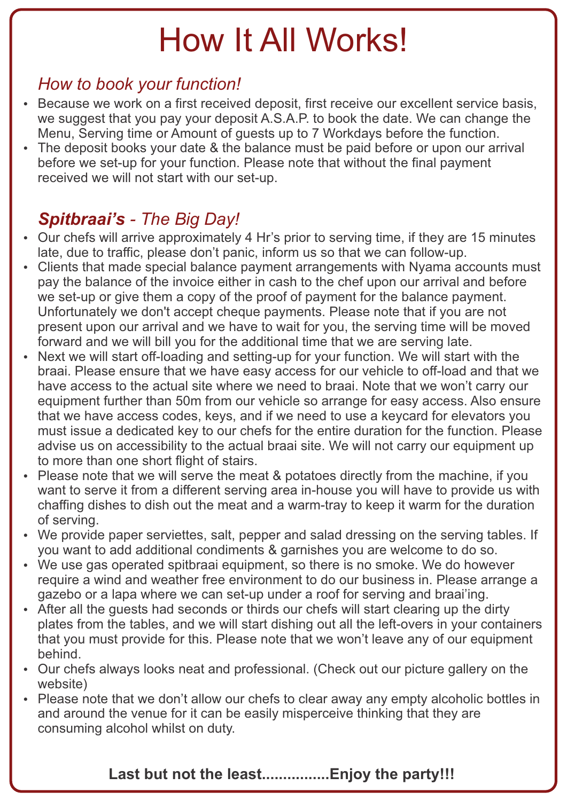# How It All Works!

### *How to book your function!*

- Because we work on a first received deposit, first receive our excellent service basis, we suggest that you pay your deposit A.S.A.P. to book the date. We can change the Menu, Serving time or Amount of guests up to 7 Workdays before the function.
- The deposit books your date & the balance must be paid before or upon our arrival before we set-up for your function. Please note that without the final payment received we will not start with our set-up.

### *Spitbraai's - The Big Day!*

- Our chefs will arrive approximately 4 Hr's prior to serving time, if they are 15 minutes late, due to traffic, please don't panic, inform us so that we can follow-up.
- Clients that made special balance payment arrangements with Nyama accounts must pay the balance of the invoice either in cash to the chef upon our arrival and before we set-up or give them a copy of the proof of payment for the balance payment. Unfortunately we don't accept cheque payments. Please note that if you are not present upon our arrival and we have to wait for you, the serving time will be moved forward and we will bill you for the additional time that we are serving late.
- Next we will start off-loading and setting-up for your function. We will start with the braai. Please ensure that we have easy access for our vehicle to off-load and that we have access to the actual site where we need to braai. Note that we won't carry our equipment further than 50m from our vehicle so arrange for easy access. Also ensure that we have access codes, keys, and if we need to use a keycard for elevators you must issue a dedicated key to our chefs for the entire duration for the function. Please advise us on accessibility to the actual braai site. We will not carry our equipment up to more than one short flight of stairs.
- Please note that we will serve the meat & potatoes directly from the machine, if you want to serve it from a different serving area in-house you will have to provide us with chaffing dishes to dish out the meat and a warm-tray to keep it warm for the duration of serving.
- We provide paper serviettes, salt, pepper and salad dressing on the serving tables. If you want to add additional condiments & garnishes you are welcome to do so.
- We use gas operated spitbraai equipment, so there is no smoke. We do however require a wind and weather free environment to do our business in. Please arrange a gazebo or a lapa where we can set-up under a roof for serving and braai'ing.
- After all the quests had seconds or thirds our chefs will start clearing up the dirty plates from the tables, and we will start dishing out all the left-overs in your containers that you must provide for this. Please note that we won't leave any of our equipment behind.
- Our chefs always looks neat and professional. (Check out our picture gallery on the website)
- Please note that we don't allow our chefs to clear away any empty alcoholic bottles in and around the venue for it can be easily misperceive thinking that they are consuming alcohol whilst on duty.

### **Last but not the least................Enjoy the party!!!**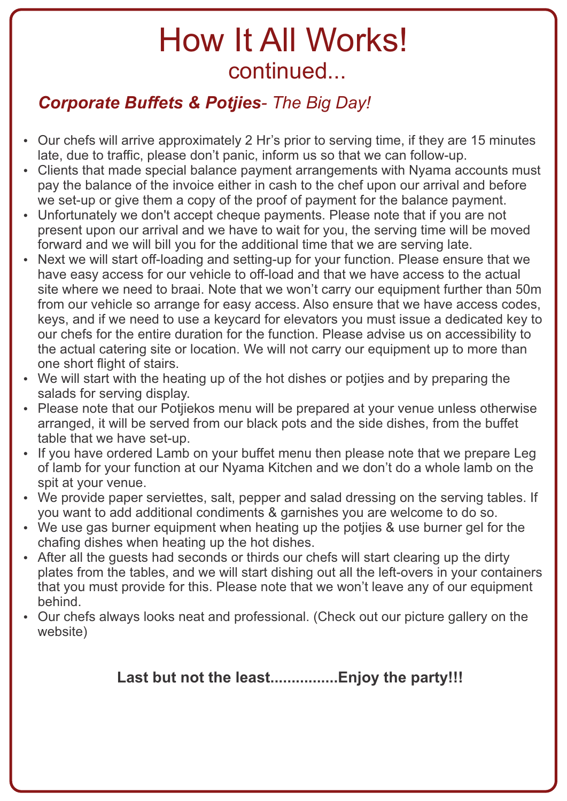### *Corporate Buffets & Potjies- The Big Day!*

- Our chefs will arrive approximately 2 Hr's prior to serving time, if they are 15 minutes late, due to traffic, please don't panic, inform us so that we can follow-up.
- Clients that made special balance payment arrangements with Nyama accounts must pay the balance of the invoice either in cash to the chef upon our arrival and before we set-up or give them a copy of the proof of payment for the balance payment.
- Unfortunately we don't accept cheque payments. Please note that if you are not present upon our arrival and we have to wait for you, the serving time will be moved forward and we will bill you for the additional time that we are serving late.
- Next we will start off-loading and setting-up for your function. Please ensure that we have easy access for our vehicle to off-load and that we have access to the actual site where we need to braai. Note that we won't carry our equipment further than 50m from our vehicle so arrange for easy access. Also ensure that we have access codes, keys, and if we need to use a keycard for elevators you must issue a dedicated key to our chefs for the entire duration for the function. Please advise us on accessibility to the actual catering site or location. We will not carry our equipment up to more than one short flight of stairs.
- We will start with the heating up of the hot dishes or potijes and by preparing the salads for serving display.
- Please note that our Potjiekos menu will be prepared at your venue unless otherwise arranged, it will be served from our black pots and the side dishes, from the buffet table that we have set-up.
- If you have ordered Lamb on your buffet menu then please note that we prepare Leg of lamb for your function at our Nyama Kitchen and we don't do a whole lamb on the spit at your venue.
- We provide paper serviettes, salt, pepper and salad dressing on the serving tables. If you want to add additional condiments & garnishes you are welcome to do so.
- We use gas burner equipment when heating up the potijes & use burner gel for the chafing dishes when heating up the hot dishes.
- After all the quests had seconds or thirds our chefs will start clearing up the dirty plates from the tables, and we will start dishing out all the left-overs in your containers that you must provide for this. Please note that we won't leave any of our equipment behind.
- Our chefs always looks neat and professional. (Check out our picture gallery on the website)

### **Last but not the least................Enjoy the party!!!**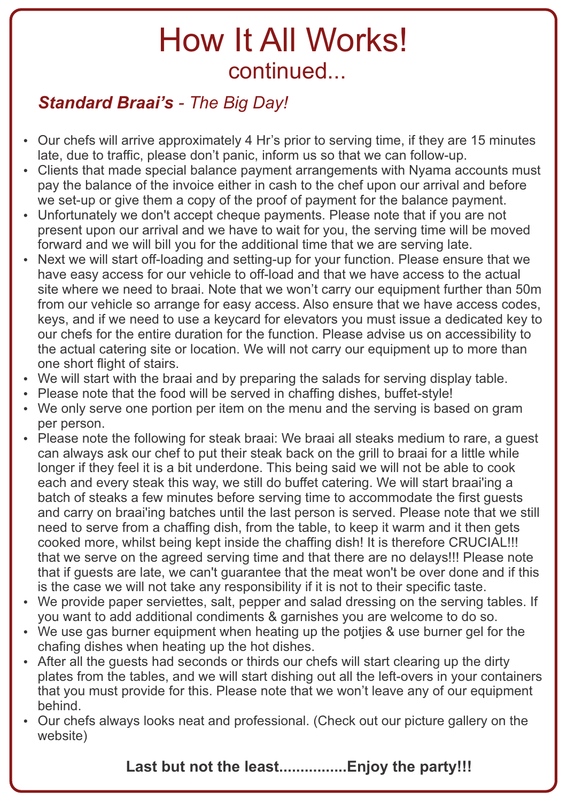### *Standard Braai's - The Big Day!*

- Our chefs will arrive approximately 4 Hr's prior to serving time, if they are 15 minutes late, due to traffic, please don't panic, inform us so that we can follow-up.
- Clients that made special balance payment arrangements with Nyama accounts must pay the balance of the invoice either in cash to the chef upon our arrival and before we set-up or give them a copy of the proof of payment for the balance payment.
- Unfortunately we don't accept cheque payments. Please note that if you are not present upon our arrival and we have to wait for you, the serving time will be moved forward and we will bill you for the additional time that we are serving late.
- Next we will start off-loading and setting-up for your function. Please ensure that we have easy access for our vehicle to off-load and that we have access to the actual site where we need to braai. Note that we won't carry our equipment further than 50m from our vehicle so arrange for easy access. Also ensure that we have access codes, keys, and if we need to use a keycard for elevators you must issue a dedicated key to our chefs for the entire duration for the function. Please advise us on accessibility to the actual catering site or location. We will not carry our equipment up to more than one short flight of stairs.
- We will start with the braai and by preparing the salads for serving display table.
- Please note that the food will be served in chaffing dishes, buffet-style!
- We only serve one portion per item on the menu and the serving is based on gram per person.
- Please note the following for steak braai: We braai all steaks medium to rare, a guest can always ask our chef to put their steak back on the grill to braai for a little while longer if they feel it is a bit underdone. This being said we will not be able to cook each and every steak this way, we still do buffet catering. We will start braai'ing a batch of steaks a few minutes before serving time to accommodate the first guests and carry on braai'ing batches until the last person is served. Please note that we still need to serve from a chaffing dish, from the table, to keep it warm and it then gets cooked more, whilst being kept inside the chaffing dish! It is therefore CRUCIAL!!! that we serve on the agreed serving time and that there are no delays!!! Please note that if guests are late, we can't guarantee that the meat won't be over done and if this is the case we will not take any responsibility if it is not to their specific taste.
- We provide paper serviettes, salt, pepper and salad dressing on the serving tables. If you want to add additional condiments & garnishes you are welcome to do so.
- We use gas burner equipment when heating up the potijes & use burner gel for the chafing dishes when heating up the hot dishes.
- After all the quests had seconds or thirds our chefs will start clearing up the dirty plates from the tables, and we will start dishing out all the left-overs in your containers that you must provide for this. Please note that we won't leave any of our equipment behind.
- Our chefs always looks neat and professional. (Check out our picture gallery on the website)

**Last but not the least................Enjoy the party!!!**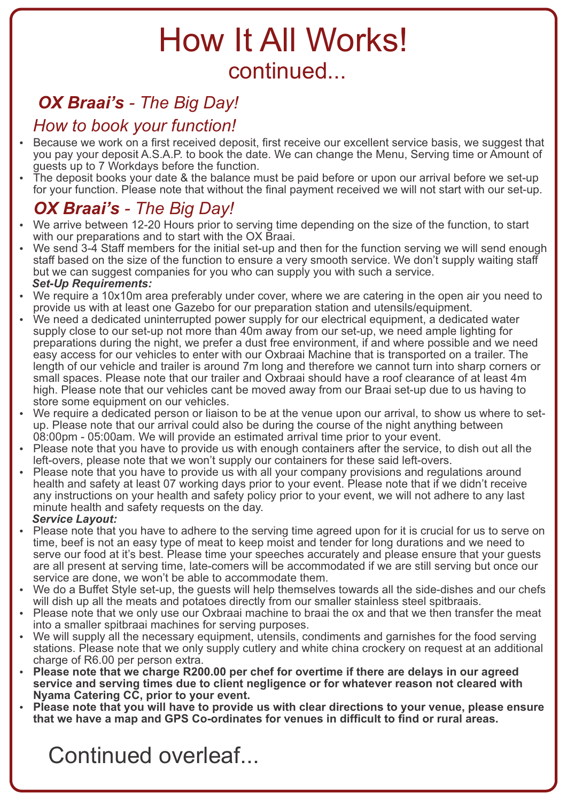### *OX Braai's - The Big Day!*

### *How to book your function!*

- Because we work on a first received deposit, first receive our excellent service basis, we suggest that you pay your deposit A.S.A.P. to book the date. We can change the Menu, Serving time or Amount of guests up to 7 Workdays before the function.
- The deposit books your date & the balance must be paid before or upon our arrival before we set-up for your function. Please note that without the final payment received we will not start with our set-up.

### *OX Braai's - The Big Day!*

- We arrive between 12-20 Hours prior to serving time depending on the size of the function, to start with our preparations and to start with the OX Braai.
- We send 3-4 Staff members for the initial set-up and then for the function serving we will send enough staff based on the size of the function to ensure a very smooth service. We don't supply waiting staff but we can suggest companies for you who can supply you with such a service.  *Set-Up Requirements:*
- We require a 10x10m area preferably under cover, where we are catering in the open air you need to provide us with at least one Gazebo for our preparation station and utensils/equipment.
- We need a dedicated uninterrupted power supply for our electrical equipment, a dedicated water supply close to our set-up not more than 40m away from our set-up, we need ample lighting for preparations during the night, we prefer a dust free environment, if and where possible and we need easy access for our vehicles to enter with our Oxbraai Machine that is transported on a trailer. The length of our vehicle and trailer is around 7m long and therefore we cannot turn into sharp corners or small spaces. Please note that our trailer and Oxbraai should have a roof clearance of at least 4m high. Please note that our vehicles cant be moved away from our Braai set-up due to us having to store some equipment on our vehicles.
- We require a dedicated person or liaison to be at the venue upon our arrival, to show us where to setup. Please note that our arrival could also be during the course of the night anything between 08:00pm - 05:00am. We will provide an estimated arrival time prior to your event.
- Please note that you have to provide us with enough containers after the service, to dish out all the left-overs, please note that we won't supply our containers for these said left-overs.
- Please note that you have to provide us with all your company provisions and regulations around health and safety at least 07 working days prior to your event. Please note that if we didn't receive any instructions on your health and safety policy prior to your event, we will not adhere to any last minute health and safety requests on the day.
- *Service Layout:*
- Please note that you have to adhere to the serving time agreed upon for it is crucial for us to serve on time, beef is not an easy type of meat to keep moist and tender for long durations and we need to serve our food at it's best. Please time your speeches accurately and please ensure that your guests are all present at serving time, late-comers will be accommodated if we are still serving but once our service are done, we won't be able to accommodate them.
- We do a Buffet Style set-up, the guests will help themselves towards all the side-dishes and our chefs will dish up all the meats and potatoes directly from our smaller stainless steel spitbraais.
- Please note that we only use our Oxbraai machine to braai the ox and that we then transfer the meat into a smaller spitbraai machines for serving purposes.
- We will supply all the necessary equipment, utensils, condiments and garnishes for the food serving stations. Please note that we only supply cutlery and white china crockery on request at an additional charge of R6.00 per person extra.
- Please note that we charge R200.00 per chef for overtime if there are delays in our agreed **service and serving times due to client negligence or for whatever reason not cleared with Nyama Catering CC, prior to your event.**
- Please note that you will have to provide us with clear directions to your venue, please ensure **that we have a map and GPS Co-ordinates for venues in difficult to find or rural areas.**

Continued overleaf...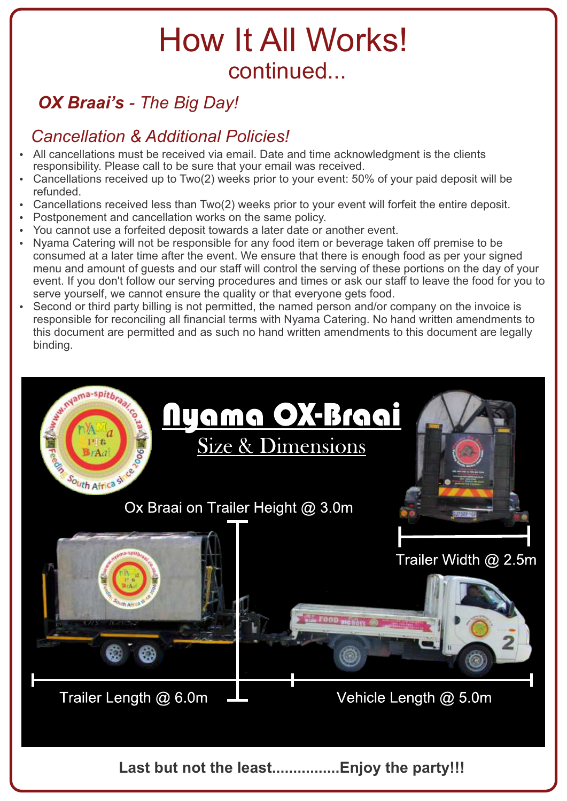### *OX Braai's - The Big Day!*

### *Cancellation & Additional Policies!*

- All cancellations must be received via email. Date and time acknowledgment is the clients responsibility. Please call to be sure that your email was received.
- Cancellations received up to Two(2) weeks prior to your event: 50% of your paid deposit will be refunded.
- Cancellations received less than Two(2) weeks prior to your event will forfeit the entire deposit.
- Postponement and cancellation works on the same policy.
- You cannot use a forfeited deposit towards a later date or another event.
- Nyama Catering will not be responsible for any food item or beverage taken off premise to be consumed at a later time after the event. We ensure that there is enough food as per your signed menu and amount of guests and our staff will control the serving of these portions on the day of your event. If you don't follow our serving procedures and times or ask our staff to leave the food for you to serve yourself, we cannot ensure the quality or that everyone gets food.
- Second or third party billing is not permitted, the named person and/or company on the invoice is responsible for reconciling all financial terms with Nyama Catering. No hand written amendments to this document are permitted and as such no hand written amendments to this document are legally binding.

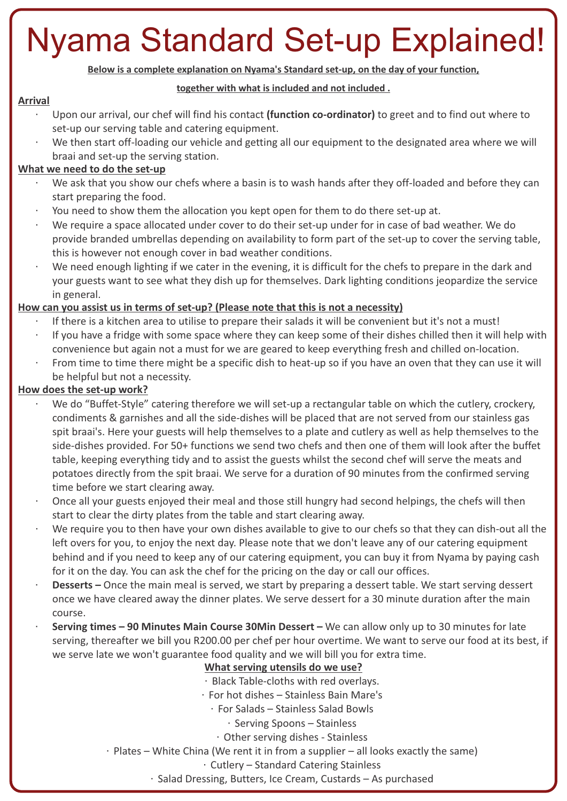# Nyama Standard Set-up Explained!

**Below is a complete explanation on Nyama's Standard set-up, on the day of your function,** 

#### **together with what is included and not included .**

### **Arrival**

- Upon our arrival, our chef will find his contact **(function co-ordinator)** to greet and to find out where to set-up our serving table and catering equipment.
- We then start off-loading our vehicle and getting all our equipment to the designated area where we will braai and set-up the serving station.

### **What we need to do the set-up**

- We ask that you show our chefs where a basin is to wash hands after they off-loaded and before they can start preparing the food.
- You need to show them the allocation you kept open for them to do there set-up at.
- We require a space allocated under cover to do their set-up under for in case of bad weather. We do provide branded umbrellas depending on availability to form part of the set-up to cover the serving table, this is however not enough cover in bad weather conditions.
- We need enough lighting if we cater in the evening, it is difficult for the chefs to prepare in the dark and your guests want to see what they dish up for themselves. Dark lighting conditions jeopardize the service in general.

### **How can you assist us in terms of set-up? (Please note that this is not a necessity)**

- If there is a kitchen area to utilise to prepare their salads it will be convenient but it's not a must!
- If you have a fridge with some space where they can keep some of their dishes chilled then it will help with convenience but again not a must for we are geared to keep everything fresh and chilled on-location.
- From time to time there might be a specific dish to heat-up so if you have an oven that they can use it will be helpful but not a necessity.

### **How does the set-up work?**

- We do "Buffet-Style" catering therefore we will set-up a rectangular table on which the cutlery, crockery, condiments & garnishes and all the side-dishes will be placed that are not served from our stainless gas spit braai's. Here your guests will help themselves to a plate and cutlery as well as help themselves to the side-dishes provided. For 50+ functions we send two chefs and then one of them will look after the buffet table, keeping everything tidy and to assist the guests whilst the second chef will serve the meats and potatoes directly from the spit braai. We serve for a duration of 90 minutes from the confirmed serving time before we start clearing away.
- Once all your guests enjoyed their meal and those still hungry had second helpings, the chefs will then start to clear the dirty plates from the table and start clearing away.
- We require you to then have your own dishes available to give to our chefs so that they can dish-out all the left overs for you, to enjoy the next day. Please note that we don't leave any of our catering equipment behind and if you need to keep any of our catering equipment, you can buy it from Nyama by paying cash for it on the day. You can ask the chef for the pricing on the day or call our offices.
- **Desserts** Once the main meal is served, we start by preparing a dessert table. We start serving dessert once we have cleared away the dinner plates. We serve dessert for a 30 minute duration after the main course.
- **Serving times 90 Minutes Main Course 30Min Dessert** We can allow only up to 30 minutes for late serving, thereafter we bill you R200.00 per chef per hour overtime. We want to serve our food at its best, if we serve late we won't guarantee food quality and we will bill you for extra time.

#### **What serving utensils do we use?**

- Black Table-cloths with red overlays.
- For hot dishes Stainless Bain Mare's
- For Salads Stainless Salad Bowls
	- Serving Spoons Stainless
	- Other serving dishes Stainless
- Plates White China (We rent it in from a supplier all looks exactly the same)
	- Cutlery Standard Catering Stainless
	- Salad Dressing, Butters, Ice Cream, Custards As purchased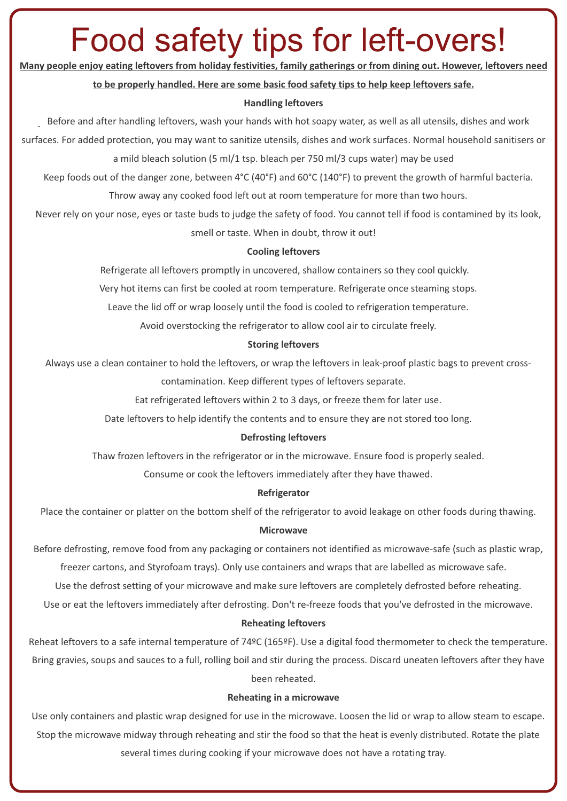# Food safety tips for left-overs!

**Many people enjoy eating leftovers from holiday festivities, family gatherings or from dining out. However, leftovers need** 

#### **to be properly handled. Here are some basic food safety tips to help keep leftovers safe.**

#### **Handling leftovers**

Before and after handling leftovers, wash your hands with hot soapy water, as well as all utensils, dishes and work

surfaces. For added protection, you may want to sanitize utensils, dishes and work surfaces. Normal household sanitisers or

a mild bleach solution (5 ml/1 tsp. bleach per 750 ml/3 cups water) may be used

Keep foods out of the danger zone, between 4°C (40°F) and 60°C (140°F) to prevent the growth of harmful bacteria.

Throw away any cooked food left out at room temperature for more than two hours.

 Never rely on your nose, eyes or taste buds to judge the safety of food. You cannot tell if food is contamined by its look, smell or taste. When in doubt, throw it out!

#### **Cooling leftovers**

Refrigerate all leftovers promptly in uncovered, shallow containers so they cool quickly.

Very hot items can first be cooled at room temperature. Refrigerate once steaming stops.

Leave the lid off or wrap loosely until the food is cooled to refrigeration temperature.

Avoid overstocking the refrigerator to allow cool air to circulate freely.

#### **Storing leftovers**

 Always use a clean container to hold the leftovers, or wrap the leftovers in leak-proof plastic bags to prevent crosscontamination. Keep different types of leftovers separate.

Eat refrigerated leftovers within 2 to 3 days, or freeze them for later use.

Date leftovers to help identify the contents and to ensure they are not stored too long.

#### **Defrosting leftovers**

Thaw frozen leftovers in the refrigerator or in the microwave. Ensure food is properly sealed.

Consume or cook the leftovers immediately after they have thawed.

#### **Refrigerator**

Place the container or platter on the bottom shelf of the refrigerator to avoid leakage on other foods during thawing.

#### **Microwave**

 Before defrosting, remove food from any packaging or containers not identified as microwave-safe (such as plastic wrap, freezer cartons, and Styrofoam trays). Only use containers and wraps that are labelled as microwave safe.

Use the defrost setting of your microwave and make sure leftovers are completely defrosted before reheating.

Use or eat the leftovers immediately after defrosting. Don't re-freeze foods that you've defrosted in the microwave.

#### **Reheating leftovers**

 Reheat leftovers to a safe internal temperature of 74ºC (165ºF). Use a digital food thermometer to check the temperature. Bring gravies, soups and sauces to a full, rolling boil and stir during the process. Discard uneaten leftovers after they have been reheated.

#### **Reheating in a microwave**

 Use only containers and plastic wrap designed for use in the microwave. Loosen the lid or wrap to allow steam to escape. Stop the microwave midway through reheating and stir the food so that the heat is evenly distributed. Rotate the plate several times during cooking if your microwave does not have a rotating tray.